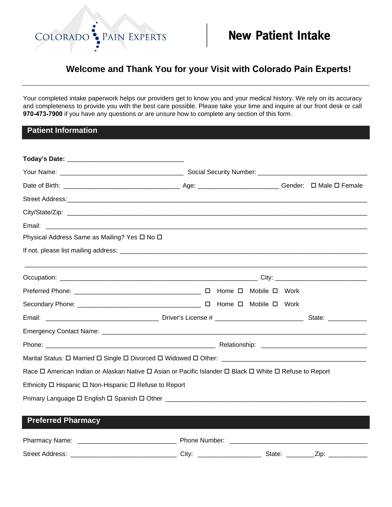

# **Welcome and Thank You for your Visit with Colorado Pain Experts!**

Your completed intake paperwork helps our providers get to know you and your medical history. We rely on its accuracy and completeness to provide you with the best care possible. Please take your time and inquire at our front desk or call **970-473-7900** if you have any questions or are unsure how to complete any section of this form.

## **Patient Information**

| City/State/Zip: example of the state of the state of the state of the state of the state of the state of the state of the state of the state of the state of the state of the state of the state of the state of the state of |  |  |  |
|-------------------------------------------------------------------------------------------------------------------------------------------------------------------------------------------------------------------------------|--|--|--|
| Email:                                                                                                                                                                                                                        |  |  |  |
| Physical Address Same as Mailing? Yes □ No □                                                                                                                                                                                  |  |  |  |
|                                                                                                                                                                                                                               |  |  |  |
|                                                                                                                                                                                                                               |  |  |  |
|                                                                                                                                                                                                                               |  |  |  |
|                                                                                                                                                                                                                               |  |  |  |
|                                                                                                                                                                                                                               |  |  |  |
|                                                                                                                                                                                                                               |  |  |  |
|                                                                                                                                                                                                                               |  |  |  |
|                                                                                                                                                                                                                               |  |  |  |
| Race □ American Indian or Alaskan Native □ Asian or Pacific Islander □ Black □ White □ Refuse to Report                                                                                                                       |  |  |  |
| Ethnicity $\Box$ Hispanic $\Box$ Non-Hispanic $\Box$ Refuse to Report                                                                                                                                                         |  |  |  |
|                                                                                                                                                                                                                               |  |  |  |
| <b>Preferred Pharmacy</b>                                                                                                                                                                                                     |  |  |  |

| Pharmacy Name:         | <b>Phone Number:</b> |        |  |
|------------------------|----------------------|--------|--|
| <b>Street Address:</b> | Citv:                | State: |  |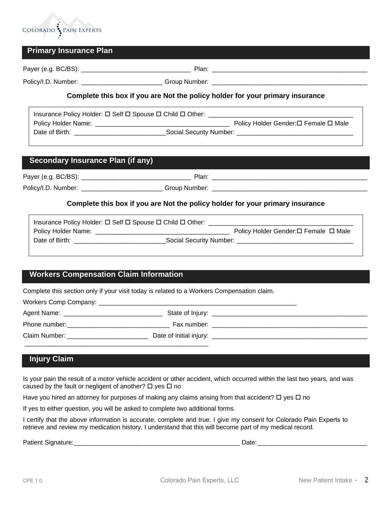

# **Primary Insurance Plan**

Payer (e.g. BC/BS): \_\_\_\_\_\_\_\_\_\_\_\_\_\_\_\_\_\_\_\_\_\_\_\_\_\_\_\_\_\_\_ Plan: \_\_\_\_\_\_\_\_\_\_\_\_\_\_\_\_\_\_\_\_\_\_\_\_\_\_\_\_\_\_\_\_\_\_\_\_\_\_\_\_\_\_\_\_

Policy/I.D. Number: \_\_\_\_\_\_\_\_\_\_\_\_\_\_\_\_\_\_\_\_\_\_\_ Group Number: \_\_\_\_\_\_\_\_\_\_\_\_\_\_\_\_\_\_\_\_\_\_\_\_\_\_\_\_\_\_\_\_\_\_\_\_\_\_\_\_\_\_\_\_

#### **Complete this box if you are Not the policy holder for your primary insurance**

| Insurance Policy Holder: □ Self □ Spouse □ Child □ Other: |                         |                                      |  |  |
|-----------------------------------------------------------|-------------------------|--------------------------------------|--|--|
| Policy Holder Name:                                       |                         | Policy Holder Gender:□ Female □ Male |  |  |
| Date of Birth:                                            | Social Security Number: |                                      |  |  |

## **Secondary Insurance Plan (if any)**

Payer (e.g. BC/BS): \_\_\_\_\_\_\_\_\_\_\_\_\_\_\_\_\_\_\_\_\_\_\_\_\_\_\_\_\_\_\_ Plan: \_\_\_\_\_\_\_\_\_\_\_\_\_\_\_\_\_\_\_\_\_\_\_\_\_\_\_\_\_\_\_\_\_\_\_\_\_\_\_\_\_\_\_\_

Policy/I.D. Number: \_\_\_\_\_\_\_\_\_\_\_\_\_\_\_\_\_\_\_\_\_\_\_ Group Number: \_\_\_\_\_\_\_\_\_\_\_\_\_\_\_\_\_\_\_\_\_\_\_\_\_\_\_\_\_\_\_\_\_\_\_\_\_\_\_\_\_\_\_\_

### **Complete this box if you are Not the policy holder for your primary insurance**

|                     | Insurance Policy Holder: $\Box$ Self $\Box$ Spouse $\Box$ Child $\Box$ Other: |                                       |
|---------------------|-------------------------------------------------------------------------------|---------------------------------------|
| Policy Holder Name: |                                                                               | Policy Holder Gender: □ Female □ Male |
| Date of Birth:      | Social Security Number:                                                       |                                       |

# **Workers Compensation Claim Information**

Complete this section only if your visit today is related to a Workers Compensation claim.

| Agent Name:<br><u> 1980 - Johann Stein, Amerikaansk politiker († 1908)</u> |                                                                                                                                                                                                                                |
|----------------------------------------------------------------------------|--------------------------------------------------------------------------------------------------------------------------------------------------------------------------------------------------------------------------------|
| Phone number:                                                              | Fax number: The contract of the contract of the contract of the contract of the contract of the contract of the contract of the contract of the contract of the contract of the contract of the contract of the contract of th |
| Claim Number:                                                              |                                                                                                                                                                                                                                |
|                                                                            |                                                                                                                                                                                                                                |

# **Injury Claim**

Is your pain the result of a motor vehicle accident or other accident, which occurred within the last two years, and was caused by the fault or negligent of another?  $\Box$  yes  $\Box$  no

Have you hired an attorney for purposes of making any claims arising from that accident?  $\Box$  yes  $\Box$  no

If yes to either question, you will be asked to complete two additional forms.

I certify that the above information is accurate, complete and true. I give my consent for Colorado Pain Experts to retrieve and review my medication history. I understand that this will become part of my medical record.

Patient Signature:\_\_\_\_\_\_\_\_\_\_\_\_\_\_\_\_\_\_\_\_\_\_\_\_\_\_\_\_\_\_\_\_\_\_\_\_\_\_\_\_\_\_\_\_\_\_\_ Date:\_\_\_\_\_\_\_\_\_\_\_\_\_\_\_\_\_\_\_\_\_\_\_\_\_\_\_\_\_\_\_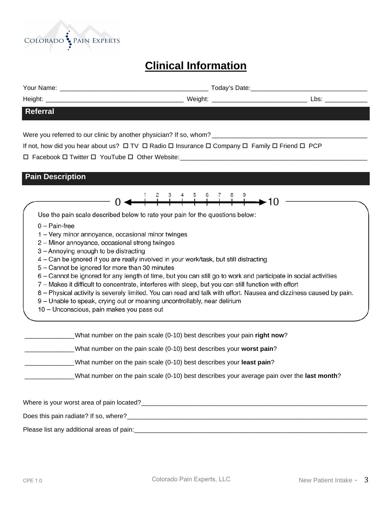

# **Clinical Information**

Your Name: \_\_\_\_\_\_\_\_\_\_\_\_\_\_\_\_\_\_\_\_\_\_\_\_\_\_\_\_\_\_\_\_\_\_\_\_\_\_\_\_\_\_ Today's Date:\_\_\_\_\_\_\_\_\_\_\_\_\_\_\_\_\_\_\_\_\_\_\_\_\_\_\_\_\_\_\_\_\_

 $\overset{8}{\longrightarrow}$  +  $\overset{9}{\longrightarrow}$  10

Height: \_\_\_\_\_\_\_\_\_\_\_\_\_\_\_\_\_\_\_\_\_\_\_\_\_\_\_\_\_\_\_\_\_\_\_\_\_\_\_ Weight: \_\_\_\_\_\_\_\_\_\_\_\_\_\_\_\_\_\_\_\_\_\_\_\_\_\_\_ Lbs: \_\_\_\_\_\_\_\_\_\_\_\_

#### **Referral**

Were you referred to our clinic by another physician? If so, whom? \_\_\_\_\_\_\_\_\_\_\_\_\_

If not, how did you hear about us?  $\Box$  TV  $\Box$  Radio  $\Box$  Insurance  $\Box$  Company  $\Box$  Family  $\Box$  Friend  $\Box$  PCP

Facebook Twitter YouTube Other Website:\_\_\_\_\_\_\_\_\_\_\_\_\_\_\_\_\_\_\_\_\_\_\_\_\_\_\_\_\_\_\_\_\_\_\_\_\_\_\_\_\_\_\_\_\_\_\_\_\_\_\_\_\_

# **Pain Description**

Use the pain scale described below to rate your pain for the questions below:

- $0 \text{Pain-free}$
- 1 Very minor annoyance, occasional minor twinges
- 2 Minor annoyance, occasional strong twinges
- 3 Annoying enough to be distracting
- 4 Can be ignored if you are really involved in your work/task, but still distracting
- 5 Cannot be ignored for more than 30 minutes
- 6 Cannot be ignored for any length of time, but you can still go to work and participate in social activities
- 7 Makes it difficult to concentrate, interferes with sleep, but you can still function with effort
- 8 Physical activity is severely limited. You can read and talk with effort. Nausea and dizziness caused by pain.
- 9 Unable to speak, crying out or moaning uncontrollably, near delirium
- 10 Unconscious, pain makes you pass out

| What number on the pain scale (0-10) best describes your pain right now?                   |
|--------------------------------------------------------------------------------------------|
| What number on the pain scale (0-10) best describes your worst pain?                       |
| What number on the pain scale (0-10) best describes your least pain?                       |
| What number on the pain scale (0-10) best describes your average pain over the last month? |
|                                                                                            |

Where is your worst area of pain located?\_\_\_\_\_\_\_\_\_\_\_\_\_\_\_\_\_\_\_\_\_\_\_\_\_\_\_\_\_\_\_\_\_\_\_\_\_\_\_\_\_\_\_\_\_\_\_\_\_\_\_\_\_\_\_\_\_\_\_\_\_\_\_\_

Does this pain radiate? If so, where?

Please list any additional areas of pain:\_\_\_\_\_\_\_\_\_\_\_\_\_\_\_\_\_\_\_\_\_\_\_\_\_\_\_\_\_\_\_\_\_\_\_\_\_\_\_\_\_\_\_\_\_\_\_\_\_\_\_\_\_\_\_\_\_\_\_\_\_\_\_\_\_\_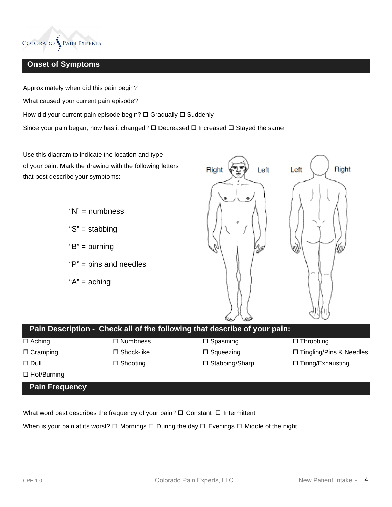

# **Onset of Symptoms**

Approximately when did this pain begin?\_\_\_\_\_\_\_\_\_\_\_\_\_\_\_\_\_\_\_\_\_\_\_\_\_\_\_\_\_\_\_\_\_\_\_\_\_\_\_\_\_\_\_\_\_\_\_\_\_\_\_\_\_\_\_\_\_\_\_\_\_\_\_\_\_

What caused your current pain episode? \_\_\_\_\_\_\_\_\_\_\_\_\_\_\_\_\_\_\_\_\_\_\_\_\_\_\_\_\_\_\_\_\_\_\_\_\_\_\_\_\_\_\_\_\_\_\_\_\_\_\_\_\_\_\_\_\_\_\_\_\_\_\_\_

How did your current pain episode begin?  $\Box$  Gradually  $\Box$  Suddenly

Since your pain began, how has it changed?  $\square$  Decreased  $\square$  Increased  $\square$  Stayed the same

Use this diagram to indicate the location and type of your pain. Mark the drawing with the following letters that best describe your symptoms:

> "N" = numbness "S" = stabbing " $B$ " = burning "P" = pins and needles " $A$ " = aching



|                       |                      | Pain Description - Check all of the following that describe of your pain: |                                |
|-----------------------|----------------------|---------------------------------------------------------------------------|--------------------------------|
| $\Box$ Aching         | $\square$ Numbness   | $\square$ Spasming                                                        | $\Box$ Throbbing               |
| $\Box$ Cramping       | $\square$ Shock-like | $\square$ Squeezing                                                       | $\Box$ Tingling/Pins & Needles |
| $\Box$ Dull           | $\Box$ Shooting      | $\square$ Stabbing/Sharp                                                  | $\Box$ Tiring/Exhausting       |
| $\Box$ Hot/Burning    |                      |                                                                           |                                |
| <b>Pain Frequency</b> |                      |                                                                           |                                |

What word best describes the frequency of your pain?  $\Box$  Constant  $\Box$  Intermittent

When is your pain at its worst?  $\Box$  Mornings  $\Box$  During the day  $\Box$  Evenings  $\Box$  Middle of the night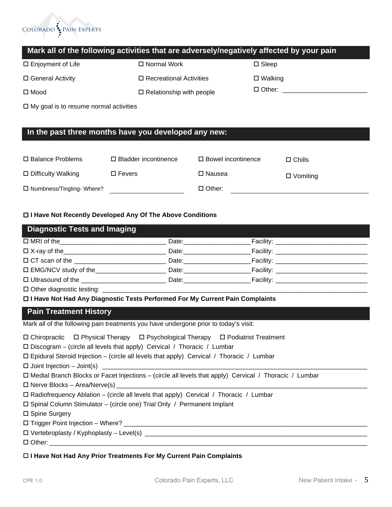

# **Mark all of the following activities that are adversely/negatively affected by your pain**

| □ Enjoyment of Life | $\Box$ Normal Work              | $\Box$ Sleep      |
|---------------------|---------------------------------|-------------------|
| □ General Activity  | □ Recreational Activities       | $\square$ Walking |
| $\square$ Mood      | $\Box$ Relationship with people | $\Box$ Other:     |

 $\Box$  My goal is to resume normal activities

# **In the past three months have you developed any new:**

| □ Balance Problems              | $\Box$ Bladder incontinence | $\Box$ Bowel incontinence | $\Box$ Chills   |
|---------------------------------|-----------------------------|---------------------------|-----------------|
| $\Box$ Difficulty Walking       | $\Box$ Fevers               | □ Nausea                  | $\Box$ Vomiting |
| $\Box$ Numbness/Tingling-Where? |                             | $\Box$ Other:             |                 |

**I Have Not Recently Developed Any Of The Above Conditions**

| <b>Diagnostic Tests and Imaging</b>        |                                                                                                                                                                                                                                |                                       |  |
|--------------------------------------------|--------------------------------------------------------------------------------------------------------------------------------------------------------------------------------------------------------------------------------|---------------------------------------|--|
|                                            | Date: the contract of the contract of the contract of the contract of the contract of the contract of the contract of the contract of the contract of the contract of the contract of the contract of the contract of the cont | __Facility: _________________________ |  |
| $\Box$ X-ray of the                        | Date: ___________________                                                                                                                                                                                                      | Facility: $\qquad \qquad$             |  |
|                                            | Date: Date:                                                                                                                                                                                                                    | Facility: ______________________      |  |
| □ EMG/NCV study of the                     | Date: the contract of the contract of the contract of the contract of the contract of the contract of the contract of the contract of the contract of the contract of the contract of the contract of the contract of the cont | Facility: ___________________________ |  |
| $\Box$ Ultrasound of the                   | Date: the contract of the contract of the contract of the contract of the contract of the contract of the contract of the contract of the contract of the contract of the contract of the contract of the contract of the cont | Facility: __________________________  |  |
| $\Box$ Other distances of a fact in $\Box$ |                                                                                                                                                                                                                                |                                       |  |

 $\Box$  Other diagnostic testing:  $\Box$ 

**I Have Not Had Any Diagnostic Tests Performed For My Current Pain Complaints**

# **Pain Treatment History**

| Mark all of the following pain treatments you have undergone prior to today's visit: |  |  |
|--------------------------------------------------------------------------------------|--|--|
|                                                                                      |  |  |

| $\Box$ Chiropractic $\Box$ Physical Therapy $\Box$ Psychological Therapy $\Box$ Podiatrist Treatment          |  |  |  |  |  |  |
|---------------------------------------------------------------------------------------------------------------|--|--|--|--|--|--|
| $\Box$ Discogram – (circle all levels that apply) Cervical / Thoracic / Lumbar                                |  |  |  |  |  |  |
| $\Box$ Epidural Steroid Injection – (circle all levels that apply) Cervical / Thoracic / Lumbar               |  |  |  |  |  |  |
|                                                                                                               |  |  |  |  |  |  |
| $\Box$ Medial Branch Blocks or Facet Injections – (circle all levels that apply) Cervical / Thoracic / Lumbar |  |  |  |  |  |  |
|                                                                                                               |  |  |  |  |  |  |
| $\Box$ Radiofrequency Ablation – (circle all levels that apply) Cervical / Thoracic / Lumbar                  |  |  |  |  |  |  |
| □ Spinal Column Stimulator – (circle one) Trial Only / Permanent Implant                                      |  |  |  |  |  |  |
| □ Spine Surgery                                                                                               |  |  |  |  |  |  |
|                                                                                                               |  |  |  |  |  |  |
|                                                                                                               |  |  |  |  |  |  |

 $\Box$  Other:

### **I Have Not Had Any Prior Treatments For My Current Pain Complaints**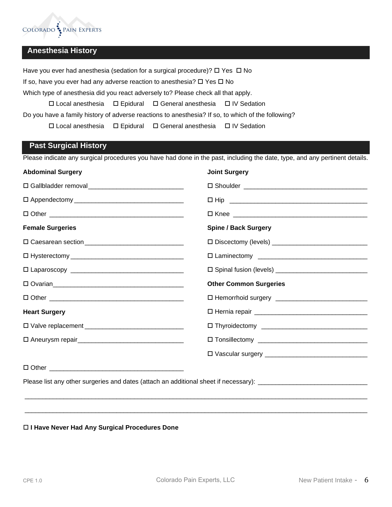

# **Anesthesia History**

Have you ever had anesthesia (sedation for a surgical procedure)?  $\Box$  Yes  $\Box$  No

If so, have you ever had any adverse reaction to anesthesia?  $\Box$  Yes  $\Box$  No

Which type of anesthesia did you react adversely to? Please check all that apply.

 $\Box$  Local anesthesia  $\Box$  Epidural  $\Box$  General anesthesia  $\Box$  IV Sedation

Do you have a family history of adverse reactions to anesthesia? If so, to which of the following?

 $\Box$  Local anesthesia  $\Box$  Epidural  $\Box$  General anesthesia  $\Box$  IV Sedation

## **Past Surgical History**

Please indicate any surgical procedures you have had done in the past, including the date, type, and any pertinent details.

| <b>Abdominal Surgery</b> | <b>Joint Surgery</b>          |
|--------------------------|-------------------------------|
|                          |                               |
|                          |                               |
|                          |                               |
| <b>Female Surgeries</b>  | <b>Spine / Back Surgery</b>   |
|                          |                               |
|                          |                               |
|                          |                               |
|                          | <b>Other Common Surgeries</b> |
|                          |                               |
| <b>Heart Surgery</b>     |                               |
|                          |                               |
|                          |                               |
|                          |                               |
|                          |                               |

Please list any other surgeries and dates (attach an additional sheet if necessary): \_\_\_\_\_\_\_\_\_\_\_\_\_\_\_\_\_\_\_\_\_\_\_\_

#### **I Have Never Had Any Surgical Procedures Done**

 $\overline{\phantom{a}}$  , and the set of the set of the set of the set of the set of the set of the set of the set of the set of the set of the set of the set of the set of the set of the set of the set of the set of the set of the s

 $\overline{\phantom{a}}$  , and the set of the set of the set of the set of the set of the set of the set of the set of the set of the set of the set of the set of the set of the set of the set of the set of the set of the set of the s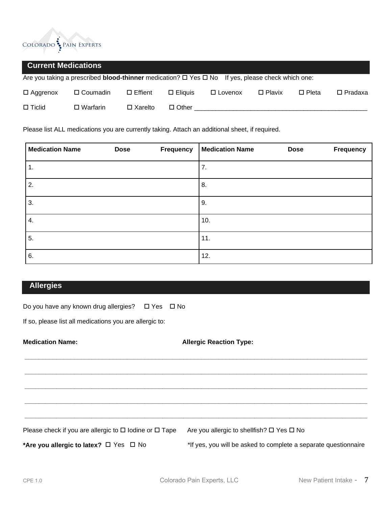

## **Current Medications**

Are you taking a prescribed **blood-thinner** medication?  $\Box$  Yes  $\Box$  No If yes, please check which one:

| $\Box$ Aggrenox | □ Coumadin □ Effient |                   | □ Eliquis □ Lovenox | $\square$ Plavix | □ Pleta | $\square$ Pradaxa |
|-----------------|----------------------|-------------------|---------------------|------------------|---------|-------------------|
| $\Box$ Ticlid   | $\square$ Warfarin   | $\square$ Xarelto | □ Other             |                  |         |                   |

Please list ALL medications you are currently taking. Attach an additional sheet, if required.

| <b>Medication Name</b> | <b>Dose</b> | <b>Frequency</b> | <b>Medication Name</b> | <b>Dose</b> | <b>Frequency</b> |
|------------------------|-------------|------------------|------------------------|-------------|------------------|
| 1.                     |             |                  | 7.                     |             |                  |
| 2.                     |             |                  | 8.                     |             |                  |
| 3.                     |             |                  | 9.                     |             |                  |
| 4.                     |             |                  | 10.                    |             |                  |
| 5.                     |             |                  | 11.                    |             |                  |
| 6.                     |             |                  | 12.                    |             |                  |

# **Allergies**

Do you have any known drug allergies?  $\Box$  Yes  $\Box$  No

If so, please list all medications you are allergic to:

**Medication Name:** Allergic Reaction Type:

**\_\_\_\_\_\_\_\_\_\_\_\_\_\_\_\_\_\_\_\_\_\_\_\_\_\_\_\_\_\_\_\_\_\_\_\_\_\_\_\_\_\_\_\_\_\_\_\_\_\_\_\_\_\_\_\_\_\_\_\_\_\_\_\_\_\_\_\_\_\_\_\_\_\_\_\_\_\_\_\_\_\_\_\_\_\_\_\_\_\_\_\_\_\_\_\_\_** 

**\_\_\_\_\_\_\_\_\_\_\_\_\_\_\_\_\_\_\_\_\_\_\_\_\_\_\_\_\_\_\_\_\_\_\_\_\_\_\_\_\_\_\_\_\_\_\_\_\_\_\_\_\_\_\_\_\_\_\_\_\_\_\_\_\_\_\_\_\_\_\_\_\_\_\_\_\_\_\_\_\_\_\_\_\_\_\_\_\_\_\_\_\_\_\_\_\_** 

**\_\_\_\_\_\_\_\_\_\_\_\_\_\_\_\_\_\_\_\_\_\_\_\_\_\_\_\_\_\_\_\_\_\_\_\_\_\_\_\_\_\_\_\_\_\_\_\_\_\_\_\_\_\_\_\_\_\_\_\_\_\_\_\_\_\_\_\_\_\_\_\_\_\_\_\_\_\_\_\_\_\_\_\_\_\_\_\_\_\_\_\_\_\_\_\_\_** 

**\_\_\_\_\_\_\_\_\_\_\_\_\_\_\_\_\_\_\_\_\_\_\_\_\_\_\_\_\_\_\_\_\_\_\_\_\_\_\_\_\_\_\_\_\_\_\_\_\_\_\_\_\_\_\_\_\_\_\_\_\_\_\_\_\_\_\_\_\_\_\_\_\_\_\_\_\_\_\_\_\_\_\_\_\_\_\_\_\_\_\_\_\_\_\_\_\_** 

**\_\_\_\_\_\_\_\_\_\_\_\_\_\_\_\_\_\_\_\_\_\_\_\_\_\_\_\_\_\_\_\_\_\_\_\_\_\_\_\_\_\_\_\_\_\_\_\_\_\_\_\_\_\_\_\_\_\_\_\_\_\_\_\_\_\_\_\_\_\_\_\_\_\_\_\_\_\_\_\_\_\_\_\_\_\_\_\_\_\_\_\_\_\_\_\_\_** 

Please check if you are allergic to  $\Box$  Iodine or  $\Box$  Tape Are you allergic to shellfish?  $\Box$  Yes  $\Box$  No

\*Are you allergic to latex?  $\Box$  Yes  $\Box$  No \*If yes, you will be asked to complete a separate questionnaire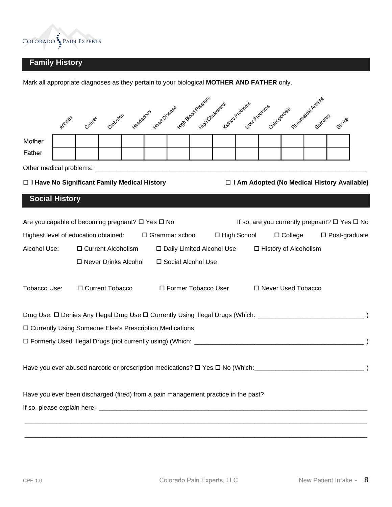

# **Family History**

| Mother<br>Father<br>Other medical problems: _<br>□ I Have No Significant Family Medical History<br>□ I Am Adopted (No Medical History Available)<br><b>Social History</b><br>Are you capable of becoming pregnant? □ Yes □ No<br>If so, are you currently pregnant? □ Yes □ No<br>Highest level of education obtained: $\Box$ Grammar school<br>□ High School<br>$\Box$ College<br>Alcohol Use:<br>□ Daily Limited Alcohol Use □ History of Alcoholism | Heat Disease<br>Headacties<br>Diabates<br>Arthritis<br>Gancer | High Blood Presente<br>Kidney Problems<br>Hidr Croiesiero1 | Rheumabia Arthitis<br>Liver Problems<br>Osteoporosis | Seizures<br>Stroke      |
|--------------------------------------------------------------------------------------------------------------------------------------------------------------------------------------------------------------------------------------------------------------------------------------------------------------------------------------------------------------------------------------------------------------------------------------------------------|---------------------------------------------------------------|------------------------------------------------------------|------------------------------------------------------|-------------------------|
|                                                                                                                                                                                                                                                                                                                                                                                                                                                        |                                                               |                                                            |                                                      |                         |
|                                                                                                                                                                                                                                                                                                                                                                                                                                                        |                                                               |                                                            |                                                      |                         |
|                                                                                                                                                                                                                                                                                                                                                                                                                                                        |                                                               |                                                            |                                                      |                         |
|                                                                                                                                                                                                                                                                                                                                                                                                                                                        |                                                               |                                                            |                                                      |                         |
|                                                                                                                                                                                                                                                                                                                                                                                                                                                        |                                                               |                                                            |                                                      |                         |
|                                                                                                                                                                                                                                                                                                                                                                                                                                                        |                                                               |                                                            |                                                      |                         |
|                                                                                                                                                                                                                                                                                                                                                                                                                                                        |                                                               |                                                            |                                                      | $\square$ Post-graduate |
|                                                                                                                                                                                                                                                                                                                                                                                                                                                        | □ Current Alcoholism                                          |                                                            |                                                      |                         |
| □ Never Drinks Alcohol<br>□ Social Alcohol Use                                                                                                                                                                                                                                                                                                                                                                                                         |                                                               |                                                            |                                                      |                         |
| Tobacco Use:<br>□ Current Tobacco<br>□ Former Tobacco User<br>□ Never Used Tobacco                                                                                                                                                                                                                                                                                                                                                                     |                                                               |                                                            |                                                      |                         |
|                                                                                                                                                                                                                                                                                                                                                                                                                                                        |                                                               |                                                            |                                                      |                         |
| □ Currently Using Someone Else's Prescription Medications                                                                                                                                                                                                                                                                                                                                                                                              |                                                               |                                                            |                                                      |                         |
|                                                                                                                                                                                                                                                                                                                                                                                                                                                        |                                                               |                                                            |                                                      |                         |
| Have you ever abused narcotic or prescription medications? $\square$ Yes $\square$ No (Which:                                                                                                                                                                                                                                                                                                                                                          |                                                               |                                                            |                                                      |                         |
| Have you ever been discharged (fired) from a pain management practice in the past?                                                                                                                                                                                                                                                                                                                                                                     |                                                               |                                                            |                                                      |                         |
|                                                                                                                                                                                                                                                                                                                                                                                                                                                        |                                                               |                                                            |                                                      |                         |
|                                                                                                                                                                                                                                                                                                                                                                                                                                                        |                                                               |                                                            |                                                      |                         |

Mark all appropriate diagnoses as they pertain to your biological **MOTHER AND FATHER** only.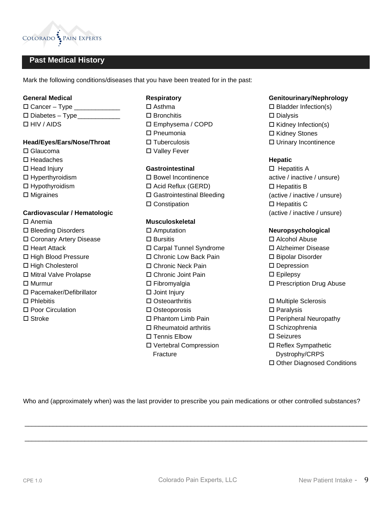

# **Past Medical History**

Mark the following conditions/diseases that you have been treated for in the past:

#### **General Medical**

 $\Box$  Cancer – Type Diabetes – Type\_\_\_\_\_\_\_\_\_\_\_\_ HIV / AIDS

#### **Head/Eyes/Ears/Nose/Throat**

- □ Glaucoma
- $\square$  Headaches
- $\Box$  Head Injury
- $\Box$  Hyperthyroidism
- Hypothyroidism
- $\square$  Migraines

#### **Cardiovascular / Hematologic**

 $\square$  Anemia □ Bleeding Disorders Coronary Artery Disease □ Heart Attack □ High Blood Pressure □ High Cholesterol Mitral Valve Prolapse □ Murmur □ Pacemaker/Defibrillator  $\square$  Phlebitis □ Poor Circulation □ Stroke

#### **Respiratory**

□ Asthma  $\Box$  Bronchitis Emphysema / COPD □ Pneumonia  $\square$  Tuberculosis □ Valley Fever

#### **Gastrointestinal**

□ Bowel Incontinence □ Acid Reflux (GERD) □ Gastrointestinal Bleeding □ Constipation

#### **Musculoskeletal**

□ Amputation □ Bursitis Carpal Tunnel Syndrome □ Chronic Low Back Pain Chronic Neck Pain □ Chronic Joint Pain Fibromyalgia  $\square$  Joint Injury □ Osteoarthritis □ Osteoporosis □ Phantom Limb Pain  $\square$  Rheumatoid arthritis □ Tennis Elbow Vertebral Compression **Fracture** 

#### **Genitourinary/Nephrology**

 $\square$  Bladder Infection(s) □ Dialysis  $\Box$  Kidney Infection(s) □ Kidney Stones Urinary Incontinence

#### **Hepatic**

 $\Box$  Hepatitis A active / inactive / unsure)  $\square$  Hepatitis B (active / inactive / unsure)  $\square$  Hepatitis C (active / inactive / unsure)

#### **Neuropsychological**

- Alcohol Abuse Alzheimer Disease □ Bipolar Disorder □ Depression □ Epilepsy □ Prescription Drug Abuse
- □ Multiple Sclerosis
- □ Paralysis
- □ Peripheral Neuropathy
- □ Schizophrenia
- □ Seizures
- □ Reflex Sympathetic Dystrophy/CRPS Other Diagnosed Conditions

Who and (approximately when) was the last provider to prescribe you pain medications or other controlled substances?

 $\Box$  , and the contribution of the contribution of the contribution of the contribution of the contribution of the contribution of the contribution of the contribution of the contribution of the contribution of the contri

 $\overline{\phantom{a}}$  , and the set of the set of the set of the set of the set of the set of the set of the set of the set of the set of the set of the set of the set of the set of the set of the set of the set of the set of the s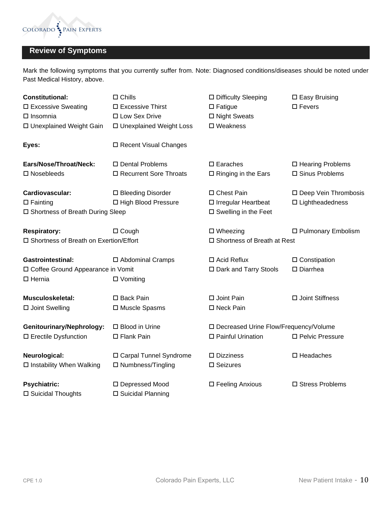

# **Review of Symptoms**

Mark the following symptoms that you currently suffer from. Note: Diagnosed conditions/diseases should be noted under Past Medical History, above.

| <b>Constitutional:</b>                   | $\square$ Chills          | □ Difficulty Sleeping                   | □ Easy Bruising           |  |  |
|------------------------------------------|---------------------------|-----------------------------------------|---------------------------|--|--|
| □ Excessive Sweating                     | □ Excessive Thirst        | $\square$ Fatigue                       | $\square$ Fevers          |  |  |
| $\Box$ Insomnia                          | □ Low Sex Drive           | □ Night Sweats                          |                           |  |  |
| □ Unexplained Weight Gain                | □ Unexplained Weight Loss | $\square$ Weakness                      |                           |  |  |
| Eyes:                                    | □ Recent Visual Changes   |                                         |                           |  |  |
| Ears/Nose/Throat/Neck:                   | □ Dental Problems         | $\square$ Earaches                      | □ Hearing Problems        |  |  |
| □ Nosebleeds                             | □ Recurrent Sore Throats  | $\square$ Ringing in the Ears           | □ Sinus Problems          |  |  |
| Cardiovascular:                          | □ Bleeding Disorder       | □ Chest Pain                            | □ Deep Vein Thrombosis    |  |  |
| $\Box$ Fainting                          | □ High Blood Pressure     | □ Irregular Heartbeat                   | $\square$ Lightheadedness |  |  |
| □ Shortness of Breath During Sleep       |                           | □ Swelling in the Feet                  |                           |  |  |
| <b>Respiratory:</b>                      | $\Box$ Cough              | $\square$ Wheezing                      | □ Pulmonary Embolism      |  |  |
| □ Shortness of Breath on Exertion/Effort |                           | □ Shortness of Breath at Rest           |                           |  |  |
| <b>Gastrointestinal:</b>                 | □ Abdominal Cramps        | $\Box$ Acid Reflux                      | $\square$ Constipation    |  |  |
| □ Coffee Ground Appearance in Vomit      |                           | □ Dark and Tarry Stools                 | $\square$ Diarrhea        |  |  |
| $\Box$ Hernia                            | $\square$ Vomiting        |                                         |                           |  |  |
| <b>Musculoskeletal:</b>                  | □ Back Pain               | □ Joint Pain                            | □ Joint Stiffness         |  |  |
| □ Joint Swelling                         | □ Muscle Spasms           | □ Neck Pain                             |                           |  |  |
| <b>Genitourinary/Nephrology:</b>         | □ Blood in Urine          | □ Decreased Urine Flow/Frequency/Volume |                           |  |  |
| □ Erectile Dysfunction                   | □ Flank Pain              | □ Painful Urination                     | □ Pelvic Pressure         |  |  |
| Neurological:                            | □ Carpal Tunnel Syndrome  | $\square$ Dizziness                     | $\square$ Headaches       |  |  |
| □ Instability When Walking               | □ Numbness/Tingling       | □ Seizures                              |                           |  |  |
| <b>Psychiatric:</b>                      | □ Depressed Mood          | □ Feeling Anxious                       | □ Stress Problems         |  |  |
| □ Suicidal Thoughts                      | □ Suicidal Planning       |                                         |                           |  |  |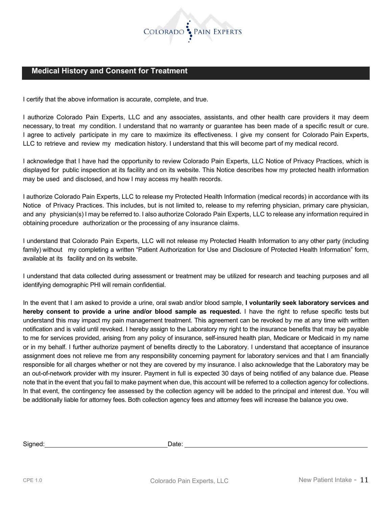

# **Medical History and Consent for Treatment**

I certify that the above information is accurate, complete, and true.

I authorize Colorado Pain Experts, LLC and any associates, assistants, and other health care providers it may deem necessary, to treat my condition. I understand that no warranty or guarantee has been made of a specific result or cure. I agree to actively participate in my care to maximize its effectiveness. I give my consent for Colorado Pain Experts, LLC to retrieve and review my medication history. I understand that this will become part of my medical record.

I acknowledge that I have had the opportunity to review Colorado Pain Experts, LLC Notice of Privacy Practices, which is displayed for public inspection at its facility and on its website. This Notice describes how my protected health information may be used and disclosed, and how I may access my health records.

I authorize Colorado Pain Experts, LLC to release my Protected Health Information (medical records) in accordance with its Notice of Privacy Practices. This includes, but is not limited to, release to my referring physician, primary care physician, and any physician(s) I may be referred to. I also authorize Colorado Pain Experts, LLC to release any information required in obtaining procedure authorization or the processing of any insurance claims.

I understand that Colorado Pain Experts, LLC will not release my Protected Health Information to any other party (including family) without my completing a written "Patient Authorization for Use and Disclosure of Protected Health Information" form, available at its facility and on its website.

I understand that data collected during assessment or treatment may be utilized for research and teaching purposes and all identifying demographic PHI will remain confidential.

In the event that I am asked to provide a urine, oral swab and/or blood sample, **I voluntarily seek laboratory services and hereby consent to provide a urine and/or blood sample as requested.** I have the right to refuse specific tests but understand this may impact my pain management treatment. This agreement can be revoked by me at any time with written notification and is valid until revoked. I hereby assign to the Laboratory my right to the insurance benefits that may be payable to me for services provided, arising from any policy of insurance, self-insured health plan, Medicare or Medicaid in my name or in my behalf. I further authorize payment of benefits directly to the Laboratory. I understand that acceptance of insurance assignment does not relieve me from any responsibility concerning payment for laboratory services and that I am financially responsible for all charges whether or not they are covered by my insurance. I also acknowledge that the Laboratory may be an out-of-network provider with my insurer. Payment in full is expected 30 days of being notified of any balance due. Please note that in the event that you fail to make payment when due, this account will be referred to a collection agency for collections. In that event, the contingency fee assessed by the collection agency will be added to the principal and interest due. You will be additionally liable for attorney fees. Both collection agency fees and attorney fees will increase the balance you owe.

| Signed: | Date: |
|---------|-------|
|         |       |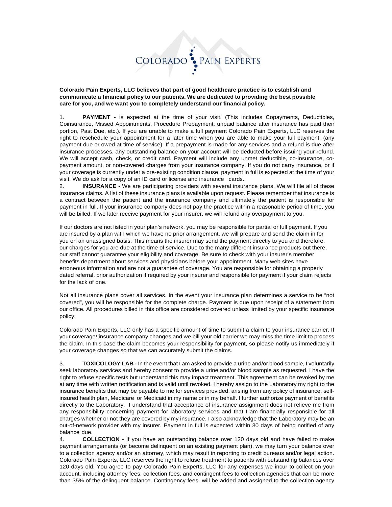

**Colorado Pain Experts, LLC believes that part of good healthcare practice is to establish and communicate a financial policy to our patients. We are dedicated to providing the best possible care for you, and we want you to completely understand our financial policy.**

1. **PAYMENT -** is expected at the time of your visit. (This includes Copayments, Deductibles, Coinsurance, Missed Appointments, Procedure Prepayment; unpaid balance after insurance has paid their portion, Past Due, etc.). If you are unable to make a full payment Colorado Pain Experts, LLC reserves the right to reschedule your appointment for a later time when you are able to make your full payment, (any payment due or owed at time of service). If a prepayment is made for any services and a refund is due after insurance processes, any outstanding balance on your account will be deducted before issuing your refund. We will accept cash, check, or credit card. Payment will include any unmet deductible, co-insurance, copayment amount, or non-covered charges from your insurance company. If you do not carry insurance, or if your coverage is currently under a pre-existing condition clause, payment in full is expected at the time of your visit. We do ask for a copy of an ID card or license and insurance cards.

2. I**NSURANCE -** We are participating providers with several insurance plans. We will file all of these insurance claims. A list of these insurance plans is available upon request. Please remember that insurance is a contract between the patient and the insurance company and ultimately the patient is responsible for payment in full. If your insurance company does not pay the practice within a reasonable period of time, you will be billed. If we later receive payment for your insurer, we will refund any overpayment to you.

If our doctors are not listed in your plan's network, you may be responsible for partial or full payment. If you are insured by a plan with which we have no prior arrangement, we will prepare and send the claim in for you on an unassigned basis. This means the insurer may send the payment directly to you and therefore, our charges for you are due at the time of service. Due to the many different insurance products out there, our staff cannot guarantee your eligibility and coverage. Be sure to check with your insurer's member benefits department about services and physicians before your appointment. Many web sites have erroneous information and are not a guarantee of coverage. You are responsible for obtaining a properly dated referral, prior authorization if required by your insurer and responsible for payment if your claim rejects for the lack of one.

Not all insurance plans cover all services. In the event your insurance plan determines a service to be "not covered", you will be responsible for the complete charge. Payment is due upon receipt of a statement from our office. All procedures billed in this office are considered covered unless limited by your specific insurance policy.

Colorado Pain Experts, LLC only has a specific amount of time to submit a claim to your insurance carrier. If your coverage/ insurance company changes and we bill your old carrier we may miss the time limit to process the claim. In this case the claim becomes your responsibility for payment, so please notify us immediately if your coverage changes so that we can accurately submit the claims.

3. **TOXICOLOGY LAB -** In the event that I am asked to provide a urine and/or blood sample, I voluntarily seek laboratory services and hereby consent to provide a urine and/or blood sample as requested. I have the right to refuse specific tests but understand this may impact treatment. This agreement can be revoked by me at any time with written notification and is valid until revoked. I hereby assign to the Laboratory my right to the insurance benefits that may be payable to me for services provided, arising from any policy of insurance, selfinsured health plan, Medicare or Medicaid in my name or in my behalf. I further authorize payment of benefits directly to the Laboratory. I understand that acceptance of insurance assignment does not relieve me from any responsibility concerning payment for laboratory services and that I am financially responsible for all charges whether or not they are covered by my insurance. I also acknowledge that the Laboratory may be an out-of-network provider with my insurer. Payment in full is expected within 30 days of being notified of any balance due.

4. **COLLECTION -** If you have an outstanding balance over 120 days old and have failed to make payment arrangements (or become delinquent on an existing payment plan), we may turn your balance over to a collection agency and/or an attorney, which may result in reporting to credit bureaus and/or legal action. Colorado Pain Experts, LLC reserves the right to refuse treatment to patients with outstanding balances over 120 days old. You agree to pay Colorado Pain Experts, LLC for any expenses we incur to collect on your account, including attorney fees, collection fees, and contingent fees to collection agencies that can be more than 35% of the delinquent balance. Contingency fees will be added and assigned to the collection agency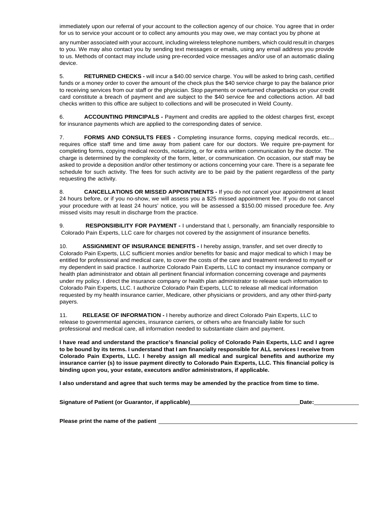immediately upon our referral of your account to the collection agency of our choice. You agree that in order for us to service your account or to collect any amounts you may owe, we may contact you by phone at

any number associated with your account, including wireless telephone numbers, which could result in charges to you. We may also contact you by sending text messages or emails, using any email address you provide to us. Methods of contact may include using pre-recorded voice messages and/or use of an automatic dialing device.

5. **RETURNED CHECKS -** will incur a \$40.00 service charge. You will be asked to bring cash, certified funds or a money order to cover the amount of the check plus the \$40 service charge to pay the balance prior to receiving services from our staff or the physician. Stop payments or overturned chargebacks on your credit card constitute a breach of payment and are subject to the \$40 service fee and collections action. All bad checks written to this office are subject to collections and will be prosecuted in Weld County.

6. **ACCOUNTING PRINCIPALS -** Payment and credits are applied to the oldest charges first, except for insurance payments which are applied to the corresponding dates of service.

7. **FORMS AND CONSULTS FEES -** Completing insurance forms, copying medical records, etc... requires office staff time and time away from patient care for our doctors. We require pre-payment for completing forms, copying medical records, notarizing, or for extra written communication by the doctor. The charge is determined by the complexity of the form, letter, or communication. On occasion, our staff may be asked to provide a deposition and/or other testimony or actions concerning your care. There is a separate fee schedule for such activity. The fees for such activity are to be paid by the patient regardless of the party requesting the activity.

8. **CANCELLATIONS OR MISSED APPOINTMENTS -** If you do not cancel your appointment at least 24 hours before, or if you no-show, we will assess you a \$25 missed appointment fee. If you do not cancel your procedure with at least 24 hours' notice, you will be assessed a \$150.00 missed procedure fee. Any missed visits may result in discharge from the practice.

9. **RESPONSIBILITY FOR PAYMENT -** I understand that I, personally, am financially responsible to Colorado Pain Experts, LLC care for charges not covered by the assignment of insurance benefits.

10. **ASSIGNMENT OF INSURANCE BENEFITS -** I hereby assign, transfer, and set over directly to Colorado Pain Experts, LLC sufficient monies and/or benefits for basic and major medical to which I may be entitled for professional and medical care, to cover the costs of the care and treatment rendered to myself or my dependent in said practice. I authorize Colorado Pain Experts, LLC to contact my insurance company or health plan administrator and obtain all pertinent financial information concerning coverage and payments under my policy. I direct the insurance company or health plan administrator to release such information to Colorado Pain Experts, LLC. I authorize Colorado Pain Experts, LLC to release all medical information requested by my health insurance carrier, Medicare, other physicians or providers, and any other third-party payers.

11. **RELEASE OF INFORMATION -** I hereby authorize and direct Colorado Pain Experts, LLC to release to governmental agencies, insurance carriers, or others who are financially liable for such professional and medical care, all information needed to substantiate claim and payment.

**I have read and understand the practice's financial policy of Colorado Pain Experts, LLC and I agree to be bound by its terms. I understand that I am financially responsible for ALL services I receive from Colorado Pain Experts, LLC. I hereby assign all medical and surgical benefits and authorize my insurance carrier (s) to issue payment directly to Colorado Pain Experts, LLC. This financial policy is binding upon you, your estate, executors and/or administrators, if applicable.**

**I also understand and agree that such terms may be amended by the practice from time to time.**

**Signature of Patient (or Guarantor, if applicable) Date:**

**Please print the name of the patient**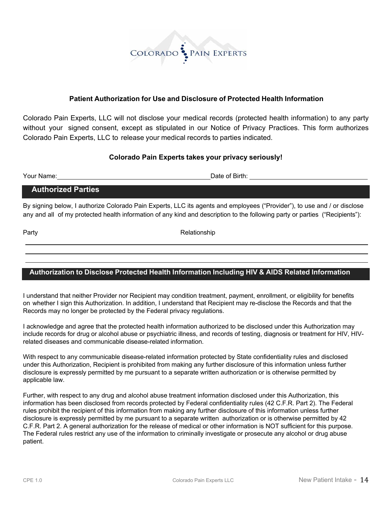

## **Patient Authorization for Use and Disclosure of Protected Health Information**

Colorado Pain Experts, LLC will not disclose your medical records (protected health information) to any party without your signed consent, except as stipulated in our Notice of Privacy Practices. This form authorizes Colorado Pain Experts, LLC to release your medical records to parties indicated.

### **Colorado Pain Experts takes your privacy seriously!**

Your Name: Date of Birth:

## **Authorized Parties**

By signing below, I authorize Colorado Pain Experts, LLC its agents and employees ("Provider"), to use and / or disclose any and all of my protected health information of any kind and description to the following party or parties ("Recipients"):

Party **Party Relationship** 

# **Authorization to Disclose Protected Health Information Including HIV & AIDS Related Information**

I understand that neither Provider nor Recipient may condition treatment, payment, enrollment, or eligibility for benefits on whether I sign this Authorization. In addition, I understand that Recipient may re-disclose the Records and that the Records may no longer be protected by the Federal privacy regulations.

I acknowledge and agree that the protected health information authorized to be disclosed under this Authorization may include records for drug or alcohol abuse or psychiatric illness, and records of testing, diagnosis or treatment for HIV, HIVrelated diseases and communicable disease-related information.

With respect to any communicable disease-related information protected by State confidentiality rules and disclosed under this Authorization, Recipient is prohibited from making any further disclosure of this information unless further disclosure is expressly permitted by me pursuant to a separate written authorization or is otherwise permitted by applicable law.

Further, with respect to any drug and alcohol abuse treatment information disclosed under this Authorization, this information has been disclosed from records protected by Federal confidentiality rules (42 C.F.R. Part 2). The Federal rules prohibit the recipient of this information from making any further disclosure of this information unless further disclosure is expressly permitted by me pursuant to a separate written authorization or is otherwise permitted by 42 C.F.R. Part 2. A general authorization for the release of medical or other information is NOT sufficient for this purpose. The Federal rules restrict any use of the information to criminally investigate or prosecute any alcohol or drug abuse patient.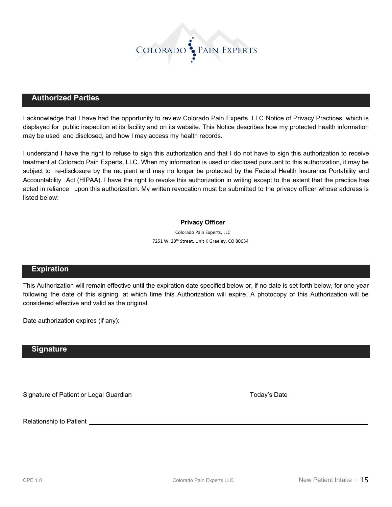

#### **Authorized Parties**

I acknowledge that I have had the opportunity to review Colorado Pain Experts, LLC Notice of Privacy Practices, which is displayed for public inspection at its facility and on its website. This Notice describes how my protected health information may be used and disclosed, and how I may access my health records.

I understand I have the right to refuse to sign this authorization and that I do not have to sign this authorization to receive treatment at Colorado Pain Experts, LLC. When my information is used or disclosed pursuant to this authorization, it may be subject to re-disclosure by the recipient and may no longer be protected by the Federal Health Insurance Portability and Accountability Act (HIPAA). I have the right to revoke this authorization in writing except to the extent that the practice has acted in reliance upon this authorization. My written revocation must be submitted to the privacy officer whose address is listed below:

#### **Privacy Officer**

 Colorado Pain Experts, LLC 7251 W. 20<sup>th</sup> Street, Unit K Greeley, CO 80634

#### **Expiration**

This Authorization will remain effective until the expiration date specified below or, if no date is set forth below, for one-year following the date of this signing, at which time this Authorization will expire. A photocopy of this Authorization will be considered effective and valid as the original.

Date authorization expires (if any):  $\sqrt{2}$  and  $\sqrt{2}$  and  $\sqrt{2}$  and  $\sqrt{2}$  and  $\sqrt{2}$  and  $\sqrt{2}$  and  $\sqrt{2}$  and  $\sqrt{2}$  and  $\sqrt{2}$  and  $\sqrt{2}$  and  $\sqrt{2}$  and  $\sqrt{2}$  and  $\sqrt{2}$  and  $\sqrt{2}$  and  $\sqrt{2}$  and  $\sqrt{2$ 

#### **Signature**

Signature of Patient or Legal Guardian Today's Date Today's Date

Relationship to Patient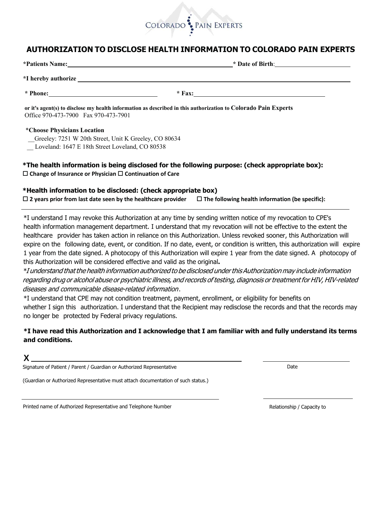

# **AUTHORIZATION TO DISCLOSE HEALTH INFORMATION TO COLORADO PAIN EXPERTS**

|                                                                                                                                                        | $*$ Date of Birth: |  |  |  |  |  |
|--------------------------------------------------------------------------------------------------------------------------------------------------------|--------------------|--|--|--|--|--|
|                                                                                                                                                        |                    |  |  |  |  |  |
|                                                                                                                                                        |                    |  |  |  |  |  |
| or it's agent(s) to disclose my health information as described in this authorization to Colorado Pain Experts<br>Office 970-473-7900 Fax 970-473-7901 |                    |  |  |  |  |  |

#### **\*Choose Physicians Location**

- Greeley: 7251 W 20th Street, Unit K Greeley, CO 80634
- Loveland: 1647 E 18th Street Loveland, CO 80538

### \*The health information is being disclosed for the following purpose: (check appropriate box): **◯ Change of Insurance or Physician ◯ Continuation of Care**

#### \*Health information to be disclosed: (check appropriate box)

 $\Box$  2 years prior from last date seen by the healthcare provider  $\Box$  The following health information (be specific):

\*I understand I may revoke this Authorization at any time by sending written notice of my revocation to CPE's health information management department. I understand that my revocation will not be effective to the extent the healthcare provider has taken action in reliance on this Authorization. Unless revoked sooner, this Authorization will expire on the following date, event, or condition. If no date, event, or condition is written, this authorization will expire 1 year from the date signed. A photocopy of this Authorization will expire 1 year from the date signed. A photocopy of this Authorization will be considered effective and valid as the original.

\*I understand that the health information authorized to be disclosed under this Authorization may include information regarding drug or alcohol abuse or psychiatric illness, and records of testing, diagnosis or treatment for HIV, HIV-related diseases and communicable disease-related information.

\*I understand that CPE may not condition treatment, payment, enrollment, or eligibility for benefits on whether I sign this authorization. I understand that the Recipient may redisclose the records and that the records may no longer be protected by Federal privacy regulations.

## $*$ I have read this Authorization and I acknowledge that I am familiar with and fully understand its terms and conditions.

Signature of Patient / Parent / Guardian or Authorized Representative  $\Box$ 

(Guardian or Authorized Representative must attach documentation of such status.)

3DE Printed name of Authorized Representative and Telephone Number 30 and 30 and 30 and 5 and 5 and 5 and 5 and 5 and 5 and 5 and 5 and 5 and 5 and 5 and 5 and 5 and 5 and 5 and 5 and 5 and 5 and 5 and 5 and 5 and 5 and 5